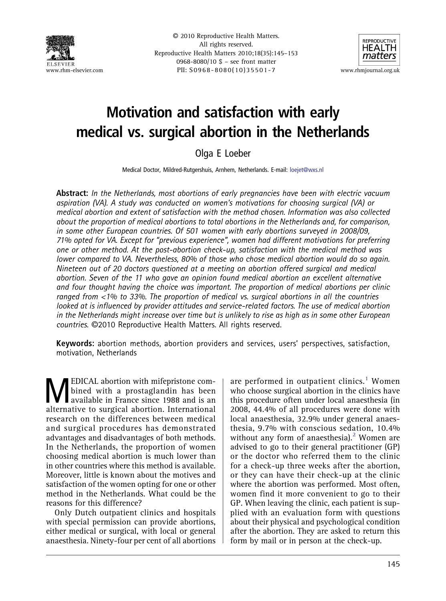

© 2010 Reproductive Health Matters. All rights reserved. Reproductive Health Matters 2010;18(35):145–153 0968-8080/10 \$ – see front matter www.rhm-elsevier.com PII: S0968-8080(10)35501-7 www.rhmjournal.org.uk



# Motivation and satisfaction with early medical vs. surgical abortion in the Netherlands

Olga E Loeber

Medical Doctor, Mildred-Rutgershuis, Arnhem, Netherlands. E-mail: [loejet@wxs.nl](mailto:loejet@wxs.nl)

Abstract: In the Netherlands, most abortions of early pregnancies have been with electric vacuum aspiration (VA). A study was conducted on women's motivations for choosing surgical (VA) or medical abortion and extent of satisfaction with the method chosen. Information was also collected about the proportion of medical abortions to total abortions in the Netherlands and, for comparison, in some other European countries. Of 501 women with early abortions surveyed in 2008/09, 71% opted for VA. Except for "previous experience", women had different motivations for preferring one or other method. At the post-abortion check-up, satisfaction with the medical method was lower compared to VA. Nevertheless, 80% of those who chose medical abortion would do so again. Nineteen out of 20 doctors questioned at a meeting on abortion offered surgical and medical abortion. Seven of the 11 who gave an opinion found medical abortion an excellent alternative and four thought having the choice was important. The proportion of medical abortions per clinic ranged from <1% to 33%. The proportion of medical vs. surgical abortions in all the countries looked at is influenced by provider attitudes and service-related factors. The use of medical abortion in the Netherlands might increase over time but is unlikely to rise as high as in some other European countries. ©2010 Reproductive Health Matters. All rights reserved.

Keywords: abortion methods, abortion providers and services, users' perspectives, satisfaction, motivation, Netherlands

**MEDICAL abortion with mifepristone com-**<br>available in France since 1988 and is an<br>alternative to surgical abortion International bined with a prostaglandin has been alternative to surgical abortion. International research on the differences between medical and surgical procedures has demonstrated advantages and disadvantages of both methods. In the Netherlands, the proportion of women choosing medical abortion is much lower than in other countries where this method is available. Moreover, little is known about the motives and satisfaction of the women opting for one or other method in the Netherlands. What could be the reasons for this difference?

Only Dutch outpatient clinics and hospitals with special permission can provide abortions, either medical or surgical, with local or general anaesthesia. Ninety-four per cent of all abortions are performed in outpatient clinics.<sup>[1](#page-7-0)</sup> Women who choose surgical abortion in the clinics have this procedure often under local anaesthesia (in 2008, 44.4% of all procedures were done with local anaesthesia, 32.9% under general anaesthesia, 9.7% with conscious sedation, 10.4% without any form of anaesthesia).<sup>[2](#page-7-0)</sup> Women are advised to go to their general practitioner (GP) or the doctor who referred them to the clinic for a check-up three weeks after the abortion, or they can have their check-up at the clinic where the abortion was performed. Most often, women find it more convenient to go to their GP. When leaving the clinic, each patient is supplied with an evaluation form with questions about their physical and psychological condition after the abortion. They are asked to return this form by mail or in person at the check-up.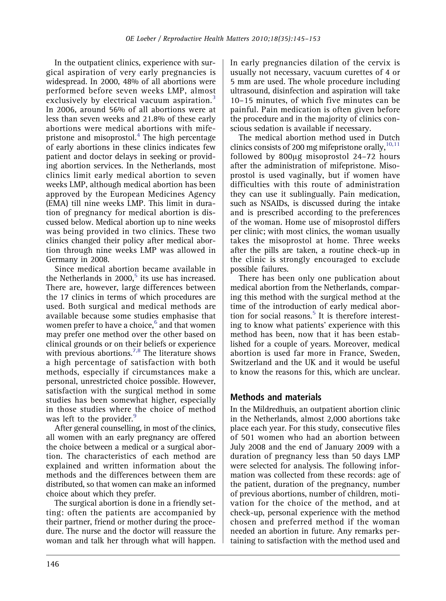In the outpatient clinics, experience with surgical aspiration of very early pregnancies is widespread. In 2000, 48% of all abortions were performed before seven weeks LMP, almost exclusively by electrical vacuum aspiration.<sup>[3](#page-7-0)</sup> In 2006, around 56% of all abortions were at less than seven weeks and 21.8% of these early abortions were medical abortions with mifepristone and misoprostol. $4$  The high percentage of early abortions in these clinics indicates few patient and doctor delays in seeking or providing abortion services. In the Netherlands, most clinics limit early medical abortion to seven weeks LMP, although medical abortion has been approved by the European Medicines Agency (EMA) till nine weeks LMP. This limit in duration of pregnancy for medical abortion is discussed below. Medical abortion up to nine weeks was being provided in two clinics. These two clinics changed their policy after medical abortion through nine weeks LMP was allowed in Germany in 2008.

Since medical abortion became available in the Netherlands in  $2000$ ,<sup>[5](#page-7-0)</sup> its use has increased. There are, however, large differences between the 17 clinics in terms of which procedures are used. Both surgical and medical methods are available because some studies emphasise that women prefer to have a choice,<sup>[6](#page-7-0)</sup> and that women may prefer one method over the other based on clinical grounds or on their beliefs or experience with previous abortions.<sup>[7,8](#page-7-0)</sup> The literature shows a high percentage of satisfaction with both methods, especially if circumstances make a personal, unrestricted choice possible. However, satisfaction with the surgical method in some studies has been somewhat higher, especially in those studies where the choice of method was left to the provider.<sup>[9](#page-7-0)</sup>

After general counselling, in most of the clinics, all women with an early pregnancy are offered the choice between a medical or a surgical abortion. The characteristics of each method are explained and written information about the methods and the differences between them are distributed, so that women can make an informed choice about which they prefer.

The surgical abortion is done in a friendly setting: often the patients are accompanied by their partner, friend or mother during the procedure. The nurse and the doctor will reassure the woman and talk her through what will happen. In early pregnancies dilation of the cervix is usually not necessary, vacuum curettes of 4 or 5 mm are used. The whole procedure including ultrasound, disinfection and aspiration will take 10–15 minutes, of which five minutes can be painful. Pain medication is often given before the procedure and in the majority of clinics conscious sedation is available if necessary.

The medical abortion method used in Dutch clinics consists of 200 mg mifepristone orally,  $10,11$ followed by 800μg misoprostol 24–72 hours after the administration of mifepristone. Misoprostol is used vaginally, but if women have difficulties with this route of administration they can use it sublingually. Pain medication, such as NSAIDs, is discussed during the intake and is prescribed according to the preferences of the woman. Home use of misoprostol differs per clinic; with most clinics, the woman usually takes the misoprostol at home. Three weeks after the pills are taken, a routine check-up in the clinic is strongly encouraged to exclude possible failures.

There has been only one publication about medical abortion from the Netherlands, comparing this method with the surgical method at the time of the introduction of early medical abor-tion for social reasons.<sup>[5](#page-7-0)</sup> It is therefore interesting to know what patients' experience with this method has been, now that it has been established for a couple of years. Moreover, medical abortion is used far more in France, Sweden, Switzerland and the UK and it would be useful to know the reasons for this, which are unclear.

# Methods and materials

In the Mildredhuis, an outpatient abortion clinic in the Netherlands, almost 2,000 abortions take place each year. For this study, consecutive files of 501 women who had an abortion between July 2008 and the end of January 2009 with a duration of pregnancy less than 50 days LMP were selected for analysis. The following information was collected from these records: age of the patient, duration of the pregnancy, number of previous abortions, number of children, motivation for the choice of the method, and at check-up, personal experience with the method chosen and preferred method if the woman needed an abortion in future. Any remarks pertaining to satisfaction with the method used and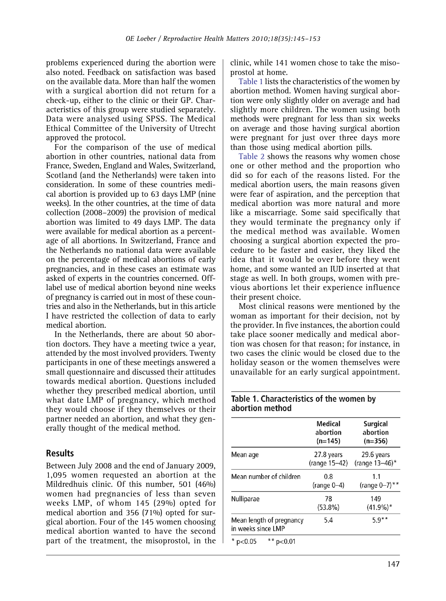problems experienced during the abortion were also noted. Feedback on satisfaction was based on the available data. More than half the women with a surgical abortion did not return for a check-up, either to the clinic or their GP. Characteristics of this group were studied separately. Data were analysed using SPSS. The Medical Ethical Committee of the University of Utrecht approved the protocol.

For the comparison of the use of medical abortion in other countries, national data from France, Sweden, England and Wales, Switzerland, Scotland (and the Netherlands) were taken into consideration. In some of these countries medical abortion is provided up to 63 days LMP (nine weeks). In the other countries, at the time of data collection (2008–2009) the provision of medical abortion was limited to 49 days LMP. The data were available for medical abortion as a percentage of all abortions. In Switzerland, France and the Netherlands no national data were available on the percentage of medical abortions of early pregnancies, and in these cases an estimate was asked of experts in the countries concerned. Offlabel use of medical abortion beyond nine weeks of pregnancy is carried out in most of these countries and also in the Netherlands, but in this article I have restricted the collection of data to early medical abortion.

In the Netherlands, there are about 50 abortion doctors. They have a meeting twice a year, attended by the most involved providers. Twenty participants in one of these meetings answered a small questionnaire and discussed their attitudes towards medical abortion. Questions included whether they prescribed medical abortion, until what date LMP of pregnancy, which method they would choose if they themselves or their partner needed an abortion, and what they generally thought of the medical method.

## **Results**

Between July 2008 and the end of January 2009, 1,095 women requested an abortion at the Mildredhuis clinic. Of this number, 501 (46%) women had pregnancies of less than seven weeks LMP, of whom 145 (29%) opted for medical abortion and 356 (71%) opted for surgical abortion. Four of the 145 women choosing medical abortion wanted to have the second part of the treatment, the misoprostol, in the clinic, while 141 women chose to take the misoprostol at home.

Table 1 lists the characteristics of the women by abortion method. Women having surgical abortion were only slightly older on average and had slightly more children. The women using both methods were pregnant for less than six weeks on average and those having surgical abortion were pregnant for just over three days more than those using medical abortion pills.

[Table 2](#page-3-0) shows the reasons why women chose one or other method and the proportion who did so for each of the reasons listed. For the medical abortion users, the main reasons given were fear of aspiration, and the perception that medical abortion was more natural and more like a miscarriage. Some said specifically that they would terminate the pregnancy only if the medical method was available. Women choosing a surgical abortion expected the procedure to be faster and easier, they liked the idea that it would be over before they went home, and some wanted an IUD inserted at that stage as well. In both groups, women with previous abortions let their experience influence their present choice.

Most clinical reasons were mentioned by the woman as important for their decision, not by the provider. In five instances, the abortion could take place sooner medically and medical abortion was chosen for that reason; for instance, in two cases the clinic would be closed due to the holiday season or the women themselves were unavailable for an early surgical appointment.

#### Table 1. Characteristics of the women by abortion method

|                                                | Medical<br>abortion<br>$(n=145)$ | <b>Surgical</b><br>abortion<br>$(n=356)$ |  |
|------------------------------------------------|----------------------------------|------------------------------------------|--|
| Mean age                                       | 27.8 years<br>(range 15-42)      | 29.6 years<br>(range 13-46)*             |  |
| Mean number of children                        | 0.8<br>$(range 0-4)$             | 1.1<br>(range $0 - 7$ ) **               |  |
| Nulliparae                                     | 78<br>$(53.8\%)$                 | 149<br>$(41.9\%)*$                       |  |
| Mean length of pregnancy<br>in weeks since LMP | 5.4                              | $5.9**$                                  |  |
| $*$ p<0.05<br>** $p<0.01$                      |                                  |                                          |  |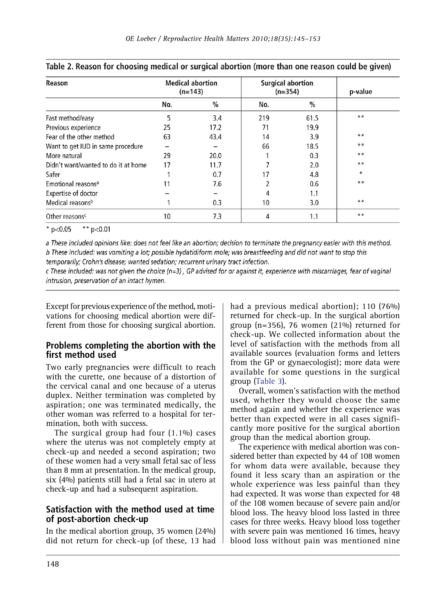| Reason                              | <b>Medical abortion</b><br>$(n=143)$ |      | <b>Surgical abortion</b><br>$(n=354)$ | p-value |         |
|-------------------------------------|--------------------------------------|------|---------------------------------------|---------|---------|
|                                     | No.                                  | %    | No.                                   | %       |         |
| Fast method/easy                    | 5                                    | 3.4  | 219                                   | 61.5    | $**$    |
| Previous experience                 | 25                                   | 17.2 | 71                                    | 19.9    |         |
| Fear of the other method            | 63                                   | 43.4 | 14                                    | 3.9     | $***$   |
| Want to get IUD in same procedure   |                                      |      | 66                                    | 18.5    | $**$    |
| More natural                        | 29                                   | 20.0 |                                       | 0.3     | $**$    |
| Didn't want/wanted to do it at home | 17                                   | 11.7 |                                       | 2.0     | $***$   |
| Safer                               |                                      | 0.7  | 17                                    | 4.8     | $\star$ |
| Emotional reasons <sup>a</sup>      | 11                                   | 7.6  |                                       | 0.6     | $**$    |
| Expertise of doctor                 |                                      |      |                                       | 1.1     |         |
| Medical reasons <sup>b</sup>        |                                      | 0.3  | 10                                    | 3.0     | $**$    |
| Other reasons <sup>c</sup>          | 10                                   | 7.3  |                                       | 1.1     | $***$   |

#### <span id="page-3-0"></span>Table 2. Reason for choosing medical or surgical abortion (more than one reason could be given)

\*  $p<0.05$ \*\*  $p < 0.01$ 

a These included opinions like: does not feel like an abortion: decision to terminate the pregnancy easier with this method. b These included: was vomiting a lot; possible hydatidiform mole; was breastfeeding and did not want to stop this

temporarily; Crohn's disease; wanted sedation; recurrent urinary tract infection.

c These included: was not given the choice (n=3), GP advised for or against it, experience with miscarriages, fear of vaginal intrusion, preservation of an intact hymen.

Except for previous experience of the method, motivations for choosing medical abortion were different from those for choosing surgical abortion.

## Problems completing the abortion with the first method used

Two early pregnancies were difficult to reach with the curette, one because of a distortion of the cervical canal and one because of a uterus duplex. Neither termination was completed by aspiration; one was terminated medically, the other woman was referred to a hospital for termination, both with success.

The surgical group had four (1.1%) cases where the uterus was not completely empty at check-up and needed a second aspiration; two of these women had a very small fetal sac of less than 8 mm at presentation. In the medical group, six (4%) patients still had a fetal sac in utero at check-up and had a subsequent aspiration.

## Satisfaction with the method used at time of post-abortion check-up

In the medical abortion group, 35 women (24%) did not return for check-up (of these, 13 had had a previous medical abortion); 110 (76%) returned for check-up. In the surgical abortion group ( $n=356$ ), 76 women ( $21\%$ ) returned for check-up. We collected information about the level of satisfaction with the methods from all available sources (evaluation forms and letters from the GP or gynaecologist); more data were available for some questions in the surgical group [\(Table 3\)](#page-4-0).

Overall, women's satisfaction with the method used, whether they would choose the same method again and whether the experience was better than expected were in all cases significantly more positive for the surgical abortion group than the medical abortion group.

The experience with medical abortion was considered better than expected by 44 of 108 women for whom data were available, because they found it less scary than an aspiration or the whole experience was less painful than they had expected. It was worse than expected for 48 of the 108 women because of severe pain and/or blood loss. The heavy blood loss lasted in three cases for three weeks. Heavy blood loss together with severe pain was mentioned 16 times, heavy blood loss without pain was mentioned nine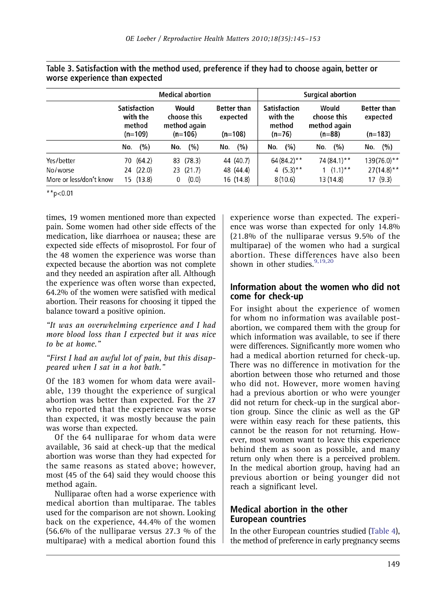|                                                   | <b>Medical abortion</b>                                |                                     |                                                   |                                 |                                             | <b>Surgical abortion</b>            |                                                |                                                     |                                                  |                                            |                                             |                                            |
|---------------------------------------------------|--------------------------------------------------------|-------------------------------------|---------------------------------------------------|---------------------------------|---------------------------------------------|-------------------------------------|------------------------------------------------|-----------------------------------------------------|--------------------------------------------------|--------------------------------------------|---------------------------------------------|--------------------------------------------|
|                                                   | <b>Satisfaction</b><br>with the<br>method<br>$(n=109)$ |                                     | Would<br>choose this<br>method again<br>$(n=106)$ |                                 | <b>Better than</b><br>expected<br>$(n=108)$ |                                     | Satisfaction<br>with the<br>method<br>$(n=76)$ |                                                     | Would<br>choose this<br>method again<br>$(n=88)$ |                                            | <b>Better than</b><br>expected<br>$(n=183)$ |                                            |
|                                                   | No.                                                    | (%)                                 | No.                                               | (%)                             | No.                                         | (%)                                 | No.                                            | (%)                                                 | No.                                              | (%)                                        | No.                                         | (%)                                        |
| Yes/better<br>No/worse<br>More or less/don't know |                                                        | 70 (64.2)<br>24 (22.0)<br>15 (13.8) | 0                                                 | 83 (78.3)<br>23 (21.7)<br>(0.0) |                                             | 44 (40.7)<br>48 (44.4)<br>16 (14.8) |                                                | $64(84.2)$ **<br>4 $(5.3)$ <sup>**</sup><br>8(10.6) |                                                  | 74 (84.1)**<br>$1$ $(1.1)$ **<br>13 (14.8) |                                             | $139(76.0)$ **<br>$27(14.8)$ **<br>17(9.3) |

<span id="page-4-0"></span>Table 3. Satisfaction with the method used, preference if they had to choose again, better or worse experience than expected

\*\*p<0.01

times, 19 women mentioned more than expected pain. Some women had other side effects of the medication, like diarrhoea or nausea; these are expected side effects of misoprostol. For four of the 48 women the experience was worse than expected because the abortion was not complete and they needed an aspiration after all. Although the experience was often worse than expected, 64.2% of the women were satisfied with medical abortion. Their reasons for choosing it tipped the balance toward a positive opinion.

"It was an overwhelming experience and I had more blood loss than I expected but it was nice to be at home."

#### "First I had an awful lot of pain, but this disappeared when I sat in a hot bath."

Of the 183 women for whom data were available, 139 thought the experience of surgical abortion was better than expected. For the 27 who reported that the experience was worse than expected, it was mostly because the pain was worse than expected.

Of the 64 nulliparae for whom data were available, 36 said at check-up that the medical abortion was worse than they had expected for the same reasons as stated above; however, most (45 of the 64) said they would choose this method again.

Nulliparae often had a worse experience with medical abortion than multiparae. The tables used for the comparison are not shown. Looking back on the experience, 44.4% of the women (56.6% of the nulliparae versus 27.3 % of the multiparae) with a medical abortion found this

experience worse than expected. The experience was worse than expected for only 14.8% (21.8% of the nulliparae versus 9.5% of the multiparae) of the women who had a surgical abortion. These differences have also been shown in other studies. $9,19,20$  $9,19,20$ 

## Information about the women who did not come for check-up

For insight about the experience of women for whom no information was available postabortion, we compared them with the group for which information was available, to see if there were differences. Significantly more women who had a medical abortion returned for check-up. There was no difference in motivation for the abortion between those who returned and those who did not. However, more women having had a previous abortion or who were younger did not return for check-up in the surgical abortion group. Since the clinic as well as the GP were within easy reach for these patients, this cannot be the reason for not returning. However, most women want to leave this experience behind them as soon as possible, and many return only when there is a perceived problem. In the medical abortion group, having had an previous abortion or being younger did not reach a significant level.

## Medical abortion in the other European countries

In the other European countries studied [\(Table 4\)](#page-5-0), the method of preference in early pregnancy seems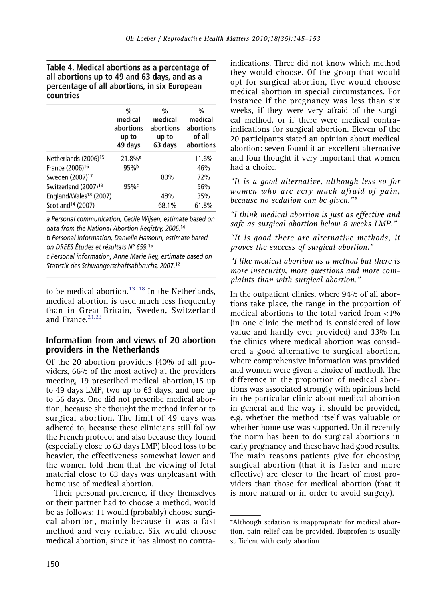## <span id="page-5-0"></span>Table 4. Medical abortions as a percentage of all abortions up to 49 and 63 days, and as a percentage of all abortions, in six European countries

|                                    | %<br>medical<br>abortions<br>up to<br>49 days | %<br>medical<br>abortions<br>up to<br>63 days | %<br>medical<br>abortions<br>of all<br>abortions |
|------------------------------------|-----------------------------------------------|-----------------------------------------------|--------------------------------------------------|
| Netherlands (2006) <sup>15</sup>   | $21.8\%$ <sup>a</sup>                         |                                               | 11.6%                                            |
| France (2006) <sup>16</sup>        | 95%                                           |                                               | 46%                                              |
| Sweden (2007) <sup>17</sup>        |                                               | 80%                                           | 72%                                              |
| Switzerland (2007) <sup>13</sup>   | 95%c                                          |                                               | 56%                                              |
| England/Wales <sup>18</sup> (2007) |                                               | 48%                                           | 35%                                              |
| Scotland <sup>14</sup> (2007)      |                                               | 68.1%                                         | 61.8%                                            |

a Personal communication, Cecile Wijsen, estimate based on data from the National Abortion Registry, 2006.14

b Personal information. Danielle Hassoun, estimate based on DREES Études et résultats N° 659.15

c Personal information, Anne Marie Rey, estimate based on Statistik des Schwangerschaftsabbruchs, 2007.<sup>12</sup>

to be medical abortion. $13-18$  $13-18$  In the Netherlands, medical abortion is used much less frequently than in Great Britain, Sweden, Switzerland and France  $21,23$ 

## Information from and views of 20 abortion providers in the Netherlands

Of the 20 abortion providers (40% of all providers, 66% of the most active) at the providers meeting, 19 prescribed medical abortion,15 up to 49 days LMP, two up to 63 days, and one up to 56 days. One did not prescribe medical abortion, because she thought the method inferior to surgical abortion. The limit of 49 days was adhered to, because these clinicians still follow the French protocol and also because they found (especially close to 63 days LMP) blood loss to be heavier, the effectiveness somewhat lower and the women told them that the viewing of fetal material close to 63 days was unpleasant with home use of medical abortion.

Their personal preference, if they themselves or their partner had to choose a method, would be as follows: 11 would (probably) choose surgical abortion, mainly because it was a fast method and very reliable. Six would choose medical abortion, since it has almost no contraindications. Three did not know which method they would choose. Of the group that would opt for surgical abortion, five would choose medical abortion in special circumstances. For instance if the pregnancy was less than six weeks, if they were very afraid of the surgical method, or if there were medical contraindications for surgical abortion. Eleven of the 20 participants stated an opinion about medical abortion: seven found it an excellent alternative and four thought it very important that women had a choice.

"It is a good alternative, although less so for women who are very much afraid of pain, because no sedation can be given."\*

"I think medical abortion is just as effective and safe as surgical abortion below 8 weeks LMP."

"It is good there are alternative methods, it proves the success of surgical abortion."

"I like medical abortion as a method but there is more insecurity, more questions and more complaints than with surgical abortion."

In the outpatient clinics, where 94% of all abortions take place, the range in the proportion of medical abortions to the total varied from <1% (in one clinic the method is considered of low value and hardly ever provided) and 33% (in the clinics where medical abortion was considered a good alternative to surgical abortion, where comprehensive information was provided and women were given a choice of method). The difference in the proportion of medical abortions was associated strongly with opinions held in the particular clinic about medical abortion in general and the way it should be provided, e.g. whether the method itself was valuable or whether home use was supported. Until recently the norm has been to do surgical abortions in early pregnancy and these have had good results. The main reasons patients give for choosing surgical abortion (that it is faster and more effective) are closer to the heart of most providers than those for medical abortion (that it is more natural or in order to avoid surgery).

<sup>\*</sup>Although sedation is inappropriate for medical abortion, pain relief can be provided. Ibuprofen is usually sufficient with early abortion.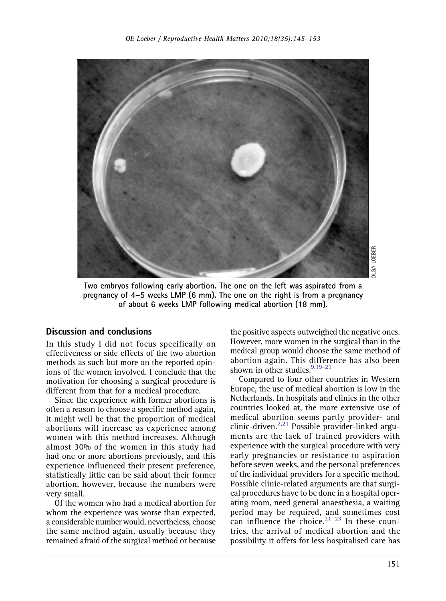

Two embryos following early abortion. The one on the left was aspirated from a pregnancy of 4–5 weeks LMP (6 mm). The one on the right is from a pregnancy of about 6 weeks LMP following medical abortion (18 mm).

#### Discussion and conclusions

In this study I did not focus specifically on effectiveness or side effects of the two abortion methods as such but more on the reported opinions of the women involved. I conclude that the motivation for choosing a surgical procedure is different from that for a medical procedure.

Since the experience with former abortions is often a reason to choose a specific method again, it might well be that the proportion of medical abortions will increase as experience among women with this method increases. Although almost 30% of the women in this study had had one or more abortions previously, and this experience influenced their present preference, statistically little can be said about their former abortion, however, because the numbers were very small.

Of the women who had a medical abortion for whom the experience was worse than expected, a considerable number would, nevertheless, choose the same method again, usually because they remained afraid of the surgical method or because

the positive aspects outweighed the negative ones. However, more women in the surgical than in the medical group would choose the same method of abortion again. This difference has also been shown in other studies. $9,19-21$  $9,19-21$  $9,19-21$ 

Compared to four other countries in Western Europe, the use of medical abortion is low in the Netherlands. In hospitals and clinics in the other countries looked at, the more extensive use of medical abortion seems partly provider- and clinic-driven.[7,](#page-7-2)[21](#page-8-0) Possible provider-linked arguments are the lack of trained providers with experience with the surgical procedure with very early pregnancies or resistance to aspiration before seven weeks, and the personal preferences of the individual providers for a specific method. Possible clinic-related arguments are that surgical procedures have to be done in a hospital operating room, need general anaesthesia, a waiting period may be required, [and](#page-8-1) sometimes cost can influence the choice. $21-23$  In these countries, the arrival of medical abortion and the possibility it offers for less hospitalised care has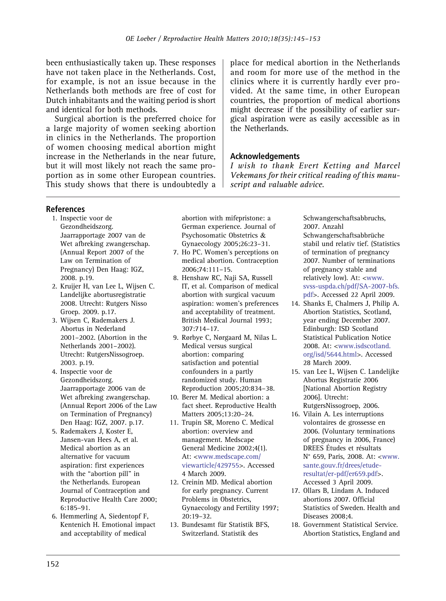<span id="page-7-0"></span>been enthusiastically taken up. These responses have not taken place in the Netherlands. Cost, for example, is not an issue because in the Netherlands both methods are free of cost for Dutch inhabitants and the waiting period is short and identical for both methods.

Surgical abortion is the preferred choice for a large majority of women seeking abortion in clinics in the Netherlands. The proportion of women choosing medical abortion might increase in the Netherlands in the near future, but it will most likely not reach the same proportion as in some other European countries. This study shows that there is undoubtedly a place for medical abortion in the Netherlands and room for more use of the method in the clinics where it is currently hardly ever provided. At the same time, in other European countries, the proportion of medical abortions might decrease if the possibility of earlier surgical aspiration were as easily accessible as in the Netherlands.

## Acknowledgements

I wish to thank Evert Ketting and Marcel Vekemans for their critical reading of this manuscript and valuable advice.

#### <span id="page-7-2"></span><span id="page-7-1"></span>References

- 1. Inspectie voor de Gezondheidszorg. Jaarrapportage 2007 van de Wet afbreking zwangerschap. (Annual Report 2007 of the Law on Termination of Pregnancy) Den Haag: IGZ, 2008. p.19.
- 2. Kruijer H, van Lee L, Wijsen C. Landelijke abortusregistratie 2008. Utrecht: Rutgers Nisso Groep. 2009. p.17.
- 3. Wijsen C, Rademakers J. Abortus in Nederland 2001–2002. (Abortion in the Netherlands 2001–2002). Utrecht: RutgersNissogroep. 2003. p.19.
- 4. Inspectie voor de Gezondheidszorg. Jaarrapportage 2006 van de Wet afbreking zwangerschap. (Annual Report 2006 of the Law on Termination of Pregnancy) Den Haag: IGZ, 2007. p.17.
- 5. Rademakers J, Koster E, Jansen-van Hees A, et al. Medical abortion as an alternative for vacuum aspiration: first experiences with the "abortion pill" in the Netherlands. European Journal of Contraception and Reproductive Health Care 2000; 6:185–91.
- 6. Hemmerling A, Siedentopf F, Kentenich H. Emotional impact and acceptability of medical

abortion with mifepristone: a German experience. Journal of Psychosomatic Obstetrics & Gynaecology 2005;26:23–31.

- 7. Ho PC. Women's perceptions on medical abortion. Contraception 2006;74:111–15.
- 8. Henshaw RC, Naji SA, Russell IT, et al. Comparison of medical abortion with surgical vacuum aspiration: women's preferences and acceptability of treatment. British Medical Journal 1993; 307:714–17.
- 9. Rørbye C, Nørgaard M, Nilas L. Medical versus surgical abortion: comparing satisfaction and potential confounders in a partly randomized study. Human Reproduction 2005;20:834–38.
- 10. Berer M. Medical abortion: a fact sheet. Reproductive Health Matters 2005;13:20–24.
- 11. Trupin SR, Moreno C. Medical abortion: overview and management. Medscape General Medicine 2002;4(1). At: [<www.medscape.com/](http://www.medscape.com/viewarticle/429755) [viewarticle/429755>](http://www.medscape.com/viewarticle/429755). Accessed 4 March 2009.
- 12. Creinin MD. Medical abortion for early pregnancy. Current Problems in Obstetrics, Gynaecology and Fertility 1997; 20:19–32.
- 13. Bundesamt für Statistik BFS, Switzerland. Statistik des

Schwangerschaftsabbruchs, 2007. Anzahl Schwangerschaftsabbrüche stabil und relativ tief. (Statistics of termination of pregnancy 2007. Number of terminations of pregnancy stable and relatively low). At: <[www.](http://www.svss-uspda.ch/pdf/SA-2007-bfs.pdf) [svss-uspda.ch/pdf/SA-2007-bfs.](http://www.svss-uspda.ch/pdf/SA-2007-bfs.pdf) [pdf](http://www.svss-uspda.ch/pdf/SA-2007-bfs.pdf)>. Accessed 22 April 2009.

- 14. Shanks E, Chalmers J, Philip A. Abortion Statistics, Scotland, year ending December 2007. Edinburgh: ISD Scotland Statistical Publication Notice 2008. At: [<www.isdscotland.](http://www.isdscotland.org/isd/5644.html) [org/isd/5644.html](http://www.isdscotland.org/isd/5644.html)>. Accessed 28 March 2009.
- 15. van Lee L, Wijsen C. Landelijke Abortus Registratie 2006 [National Abortion Registry 2006]. Utrecht: RutgersNissogroep, 2006.

16. Vilain A. Les interruptions volontaires de grossesse en 2006. (Voluntary terminations of pregnancy in 2006, France) DREES Études et résultats N° 659, Paris, 2008. At: <[www.](http://www.sante.gouv.fr/drees/etude-resultat/er-pdf/er659.pdf) [sante.gouv.fr/drees/etude](http://www.sante.gouv.fr/drees/etude-resultat/er-pdf/er659.pdf)[resultat/er-pdf/er659.pdf](http://www.sante.gouv.fr/drees/etude-resultat/er-pdf/er659.pdf)>. Accessed 3 April 2009.

- 17. Ollars B, Lindam A. Induced abortions 2007. Official Statistics of Sweden. Health and Diseases 2008;4.
- 18. Government Statistical Service. Abortion Statistics, England and